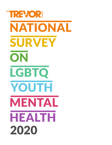# THE REVOR. NATIONAL SURVEY ON LGBTQ YOUTH MENTALHEALTH 2020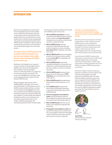### **INTRODUCTION**

Experts are just beginning to understand the mental health impacts of the multiple crises in 2020 that have deeply impacted so many. But we know that suicide is still a public health crisis, consistently the second leading cause of death among young people, and continues to disproportionately impact LGBTQ youth. The need for robust research, systematic data collection, and comprehensive mental health support has never been greater.

#### The Trevor Project's 2020 National Survey on LGBTQ Youth Mental Health is our second annual release of new insights into the unique challenges that LGBTQ youth face every day.

Building on the findings of our inaugural survey, it provides critical insights around LGBTQ youth mental health disparities, discrimination, housing instability, barriers to affirming health care, subjection to conversion therapy, and suicide. The survey also highlights how safe spaces and social support positively impact the wellbeing of LGBTQ youth.

Representing the experiences of over 40,000 LGBTQ youth ages 13-24 across the United States, it is the largest survey of LGBTQ youth mental health ever conducted. This wealth of data highlights the resiliency and diversity of LGBTQ young people and demonstrates how important affirming one's identity is to their health and wellness. Findings from this cross-sectional survey also point to best practices for how to support LGBTQ young people and contribute positively to their mental health.

Among some of the key findings of the report from LGBTQ youth in the survey:

- **40% of LGBTQ respondents** seriously considered attempting suicide in the past twelve months, with more than half of transgender and nonbinary youth having seriously considered suicide
- **68% of LGBTQ youth reported** symptoms of generalized anxiety disorder in the past two weeks, including more than 3 in 4 transgender and nonbinary youth
- **48% of LGBTQ youth reported engaging** in self-harm in the past twelve months, including over 60% of transgender and nonbinary youth
- **46% of LGBTQ youth report they** wanted psychological or emotional counseling from a mental health professional but were unable to receive it in the past 12 months
- **10% of LGBTQ youth reported under**going conversion therapy, with 78% reporting it occurred when they were under age 18
- **29% of LGBTQ youth** have experienced homelessness, been kicked out, or run away
- **1 in 3 LGBTQ youth reported that** they had been physically threatened or harmed in their lifetime due to their LGBTQ identity
- **61% of transgender and nonbinary** youth reported being prevented or discouraged from using a bathroom that corresponds with their gender identity
- **86% of LGBTQ youth** said that recent politics have negatively impacted their well-being
- **Transgender and nonbinary youth who** reported having pronouns respected by all or most people in their lives attempted suicide at half the rate of those who did not have their pronouns respected

#### This year's survey exemplifies our organization's commitment to using research and data to prevent LGBTQ youth suicide.

We will continue to leverage new research to help inform our life-saving services for LGBTQ youth, as well as expand the knowledge base for organizations around the globe. Our partner organizations also conduct critical research, and we acknowledge that our life-saving programs and research build on their important work.

Given the lack of LGBTQ-inclusive data nationwide, we hope this report will provide valuable insights that can be used by researchers, policymakers, and the many organizations working alongside The Trevor Project to support LGBTQ young people everywhere.

The Trevor Project's research, advocacy, education, and direct service programs will continue to elevate the voices and experiences of LGBTQ youth. Our hope is that by publicly sharing our resources and our support for them, LGBTQ youth will hear us loud and clear: that they are beautiful the way they are, that their lives are valuable, and that they are never alone. If you are an LGBTQ young person, please know that The Trevor Project is here to support you 24/7.



Amit Paley CEO & Executive Director The Trevor Project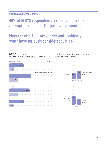### **SUICIDE & MENTAL HEALTH**

**40% of LGBTQ respondents** seriously considered attempting suicide in the past twelve months.

## **More than half** of transgender and nonbinary youth have seriously considered suicide.

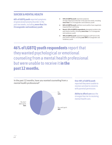### **SUICIDE & MENTAL HEALTH**

**68% of LGBTQ youth** reported symptoms of generalized anxiety disorder in the past two weeks, including **more than 3 in 4 transgender and nonbinary youth.**

- 55% of LGBTQ youth reported symptoms of major depressive disorder in the past two weeks, including more than 2 in 3 transgender and nonbinary youth
- 86% of LGBTQ youth said that recent politics have negatively impacted their well-being
- Nearly 15% of LGBTQ respondents attempted suicide in the past twelve months, including more than 1 in 5 transgender and nonbinary youth
- 48% of LGBTQ youth reported engaging in self-harm in the past twelve months, including over 60% of transgender and nonbinary youth

**46% of LGBTQ youth respondents** report that they wanted psychological or emotional counseling from a mental health professional but were unable to receive it **in the past 12 months.**



In the past 12 months, have you wanted counseling from a

#### **Over 40% of LGBTQ youth**

reported they were unable to receive care due to concerns with parental permission.

**Ability to afford care** was the strongest barrier to receiving mental health care.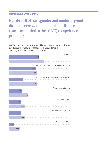### **SUICIDE & MENTAL HEALTH**

**Nearly half of transgender and nonbinary youth** didn't receive wanted mental health care due to concerns related to the LGBTQ competence of providers.

LGBTQ youth who wanted mental health care but were unable to get it cited the following reasons for  $\bullet$  cisgender and **• transgender and nonbinary respondents:** 

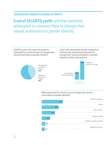### **CONVERSION THERAPY & CHANGE ATTEMPTS**

## **6 out of 10 LGBTQ youth** said that someone attempted to convince them to change their sexual orientation or gender identity.

LGBTQ youth who reported someone attempted to convince them to change their sexual orientation or gender identity:

Youth who attempted suicide, comparison of those who experienced attempts to change their sexual orientation or gender identity to those who had not:





Who attempted to convince you to change your sexual orientation or gender identity?

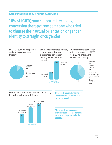### **CONVERSION THERAPY & CHANGE ATTEMPTS**

**10% of LGBTQ youth** reported receiving conversion therapy from someone who tried to change their sexual orientation or gender identity to straight or cisgender.

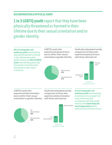### **DISCRIMINATION & PHYSICAL HARM**

**1 in 3 LGBTQ youth** report that they have been physically threatened or harmed in their lifetime due to their sexual orientation and/or gender identity.

Youth who attempted suicide No physical harm 11% Physical harm 31% No discrimination 8% 22% Discrimination LGBTQ youth who experienced physical harm due to either their sexual orientation or gender identity: LGBTQ youth who experienced discrimination due to either their sexual orientation or gender identity: **40% of transgender and nonbinary youth** reported being physically threatened or harmed in their lifetime due to their gender identity, and **30% of LGBTQ youth** reported being physically threatened or harmed in their lifetime due to their sexual orientation. **61% of transgender and nonbinary youth** reported being prevented or discouraged from using a bathroom that corresponds with their gender identity, with **school being the most frequent place** where bathroom discrimination occurs. No physical harm 67% Physical harm 33% Youth who attempted suicide, comparison of those who experienced physical harm with those who had not: Youth who attempted suicide, comparison of those who experienced discrimination with those who had not: Discrimination 60% No discrimination 40%

> Youth who attempted suicide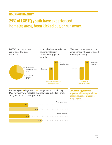### **HOUSING INSTABILITY**

## **29% of LGBTQ youth** have experienced homelessness, been kicked out, or run away.



56%

p.8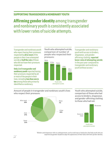### **SUPPORTING TRANSGENDER & NONBINARY YOUTH**

## **Affirming gender identity** among transgender and nonbinary youth is consistently associated with lower rates of suicide attempts.

Transgender and nonbinary youth who report having their pronouns respected by **all or most** of the people in their lives attempted suicide at **half the rate** of those who did not have their pronouns respected.

**Only 1 in 5 transgender and nonbinary youth** reported having their pronouns respected by all or most of the people in their lives, including **less than one in ten** among those who primarily identified as nonbinary.

Youth who attempted suicide, comparison of number of people who respected their pronouns:



Transgender and nonbinary youth with access to binders, shapewear, and genderaffirming clothing **reported lower rates of attempting suicide**  in the past year compared to transgender and nonbinary youth without access.\*

Amount of people in transgender and nonbinary youth's lives who respect their pronouns:



Youth who attempted suicide, comparison of those who had access to binders, shapewear, and gender-affirming clothing to those who had not:



\*Binders and shapewear refer to undergarments, such as tank tops or bodysuits, that help youth who are experiencing gender dysphoria align the appearance of their body with their gender identity.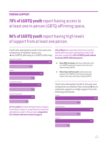### **FINDING SUPPORT**

## **78% of LGBTQ youth** report having access to at least one in-person LGBTQ-affirming space**.**

### **86% of LGBTQ youth** report having high levels of support from at least one person.

Youth who attempted suicide in the past year, comparison of whether spaces are ● not LGBTQ-affirming or ● LGBTQ-affirming:



**13% of youth** who reported high levels of support from family, friends, or a special person reported attempting suicide in the past year **compared to 22% of those with lower levels of support.**

**12% of those** who reported at least one in-person LGBTQ-affirming space attempted suicide in the past year compared to **20% of LGBTQ youth without in-person LGBTQ-affirming spaces.**

- **Over 80% of youth** said that celebrities who are LGBTQ positively impact how they feel about being LGBTQ
- More than half of youth said brands who support the LGBTQ community positively impact how they feel about being LGBTQ

Youth who attempted suicide in the past year, comparison on whether they received  $\bullet$  low or moderate support or  $\bullet$  high support from the following individuals:

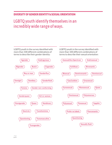### **DIVERSITY OF GENDER IDENTITY & SEXUAL ORIENTATION**

### LGBTQ youth identify themselves in an incredibly wide range of ways.

LGBTQ youth in the survey identified with more than 100 different combinations of terms to describe their gender identity:



LGBTQ youth in the survey identified with more than 100 different combinations of terms to describe their sexual orientation:

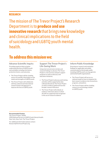### **RESEARCH**

The mission of The Trevor Project's Research Department is to **produce and use innovative research** that brings new knowledge and clinical implications to the field of suicidology and LGBTQ youth mental health.

### **To address this mission we:**

Providing empirical data to better understand the lives of LGBTQ youth and suicidality including risk factors, protective factors, and outcomes.

- The Trevor Project will be a leading source of scientific information on the needs and strengths of LGBTQ youth
- The Trevor Project will collaborate with key national and international research teams and agencies to improve the lives of LGBTQ youth

### Advance Scientific Inquiry Support The Trevor Project's Life-Saving Work

Using internal and external data and research findings to advance The Trevor Project's crisis services and peer support programs as well as advocacy and education initiatives.

- The Trevor Project's advocacy and training activities will be supported by data collected directly by The Trevor Project as well as evidence gathered from the broader research literature
- The Trevor Project will embody an evidence-informed culture in which all staff are supported and recognized in the use of research evidence

### Inform Public Knowledge

Ensuring our research and evaluation findings are applicable and widely communicated to the broader public including LGBTQ youth-serving agencies and mental health organizations.

- The Trevor Project will serve as a national model on how to integrate the best research evidence into its practices, programs, and policies
- The Trevor Project will be a leading resource on terminology related to LGBTQ youth

Recommended Citation

The Trevor Project. (2020). 2020 National Survey on LGBTQ Youth Mental Health. New York, New York: The Trevor Project.

For additional information please contact: Research@TheTrevorProject.org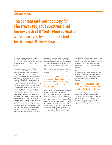### **METHODOLOGY**

The content and methodology for **The Trevor Project's 2020 National Survey on LGBTQ Youth Mental Health**  were approved by an independent Institutional Review Board.

The content and methodology for The Trevor Project's 2020 National Survey on LGBTQ Youth Mental Health were approved by an independent Institutional Review Board.

A quantitative cross-sectional design was used to collect data using an online survey platform between December 2, 2019 and March 31, 2020. A sample of individuals ages 13–24 who resided in the United States was recruited via targeted ads on social media. No recruitment was conducted via The Trevor Project website or any of The Trevor Project social media sites. Respondents were defined as being LGBTQ if they identified with a sexual orientation other than straight/heterosexual, a gender identity other than cisgender, or both. In order to ensure the representativeness of the sample, targeted recruitment was conducted to ensure adequate sample sizes with respect to geography, gender identity, and race/ethnicity. Qualified respondents completed a secure online questionnaire that included a maximum of 150 questions. Questions on sexual orientation and gender identity (SOGI) were aligned with the best practices identified in SOGI measurement. Questions on considering and attempting

suicide in the past 12 months were taken from the Centers for Disease Control and Prevention's Youth Risk Behavior Surveillance Survey to allow for direct comparisons to their nationally representative sample.

Each question related to mental health and suicidality was preceded by a message stating:

### "If at any time you need to talk to someone about your mental health or thoughts of suicide, please call The Trevor Project at 1-866-488-7386."

Participation was voluntary, and informed consent was obtained. No names or personal details were included to ensure anonymity. A total of 60,795 youth from unique IP addresses consented to complete the online survey. Youth who indicated that they lived outside of the U.S. (*n*=210), were outside the 13–24 age range (*n*=551) or who did not meet predefined demographic characteristics during the targeted recruitment phase (*n*=6,412) were directed out of the survey. To create the analytic

sample, a filter was applied to remove youth who did not reach the midpoint of the survey, which included questions on suicide (*n*=13,343). Youth who were not LGBTQ (*n*=205) were excluded from the analytic sample

Additionally, a mischievous responders analysis identified and removed 73 youth who provided obvious hate speech about LGBTQ populations in the free response options or who reported answering dishonestly.

### The final analytic sample was comprised of 40,001 LGBTQ youth ages 13–24 in the United States.

Preliminary analyses were conducted to identify any potential problems with redundancy (e.g., multicollinearity) among similar variables such as experiences of discrimination and victimization. All variables contributed uniquely to indicators related to suicide attempts.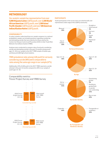### **METHODOLOGY**

Our analytic sample has representation from over **4,000 Hispanic/Latinx** LGBTQ youth, over **1,500 Black/ African American** LGBTQ youth, over **1,500 Asian/ Pacific Islander** LGBTQ youth, and over **500 American Indian/Alaskan Native** LGBTQ youth.

#### **COMPARABILITY**

In order to better understand how our sample compares to a national probabilistic sample, we included questions regarding considering and attempting suicide that were identical to those used by the Centers for Disease Control and Prevention (CDC) in their Youth Risk Behavior Surveillance System (YRBS).

Analyses were conducted to compare rates of seriously considering suicide and attempting suicide in the past 12 months among youth ages 13–18 in our sample to the 2017 YRBS sample of lesbian, gay, and bisexual (LGB) high school students.

### YRBS prevalence rates among LGB youth for seriously considering suicide (48%) were comparable to rates among the same age range in our sample (47%).

Additionally, 23% of LGB youth in the 2017 YRBS reported a suicide attempt in the past 12 months compared to 20% in our sample of youth ages 13–18.

### Comparability metrics: Trevor Project Survey and YRBS Survey



#### **PARTICIPANTS**

Youth participants in the survey were recruited broadly and represented a wide range of the LGBTQ community.